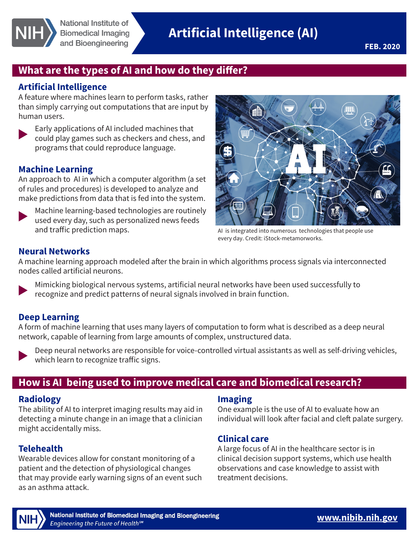

# **What are the types of AI and how do they difer?**

## **Artificial Intelligence**

A feature where machines learn to perform tasks, rather than simply carrying out computations that are input by human users.



**Early applications of AI included machines that could play games such as checkers and chess, and** programs that could reproduce language.

# **Machine Learning**

An approach to AI in which a computer algorithm (a set of rules and procedures) is developed to analyze and make predictions from data that is fed into the system.



Machine learning-based technologies are routinely used every day, such as personalized news feeds and trafic prediction maps.



AI is integrated into numerous technologies that people use every day. Credit: iStock-metamorworks.

### **Neural Networks**

A machine learning approach modeled afer the brain in which algorithms process signals via interconnected nodes called artificial neurons.

Mimicking biological nervous systems, artificial neural networks have been used successfully to recognize and predict patterns of neural signals involved in brain function.

### **Deep Learning**

A form of machine learning that uses many layers of computation to form what is described as a deep neural network, capable of learning from large amounts of complex, unstructured data.



Deep neural networks are responsible for voice-controlled virtual assistants as well as self-driving vehicles, which learn to recognize trafic signs.

# **How is AI being used to improve medical care and biomedical research?**

#### **Radiology**

The ability of AI to interpret imaging results may aid in detecting a minute change in an image that a clinician might accidentally miss.

# **Telehealth**

Wearable devices allow for constant monitoring of a patient and the detection of physiological changes that may provide early warning signs of an event such as an asthma attack.

#### **Imaging**

One example is the use of AI to evaluate how an individual will look after facial and cleft palate surgery.

### **Clinical care**

A large focus of AI in the healthcare sector is in clinical decision support systems, which use health observations and case knowledge to assist with treatment decisions.